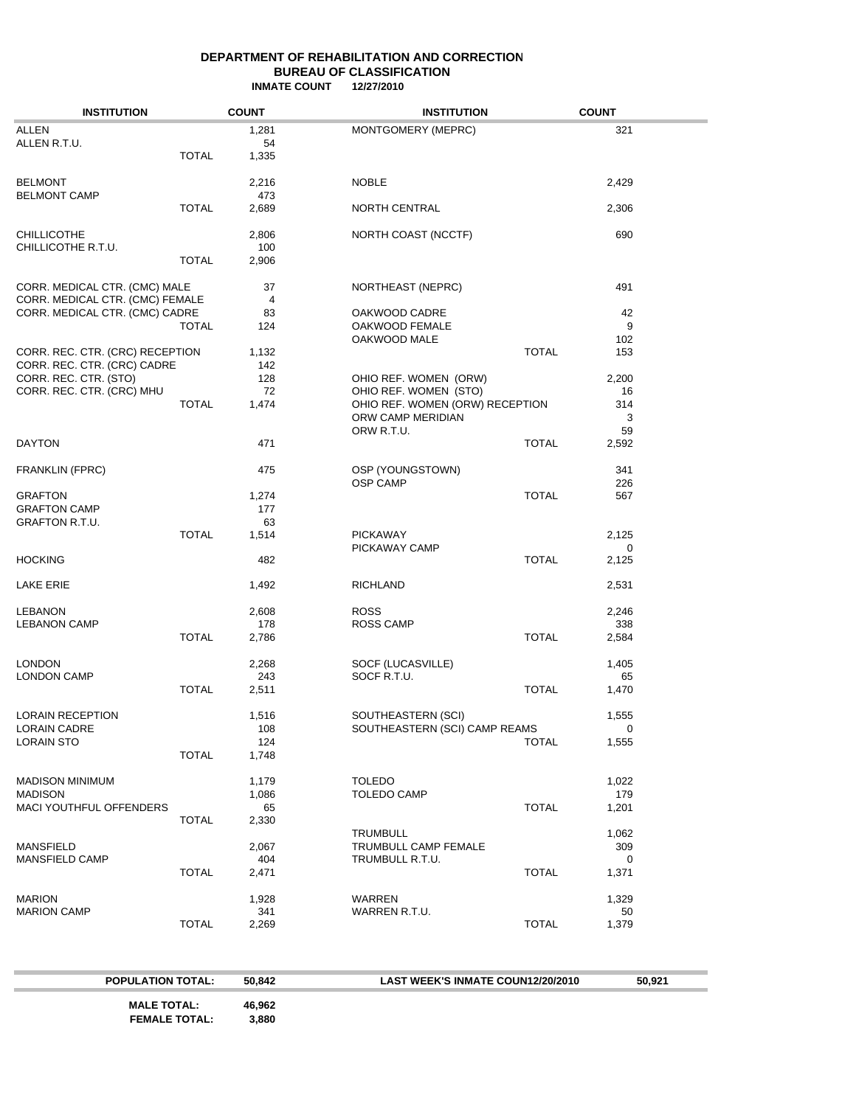#### **DEPARTMENT OF REHABILITATION AND CORRECTION BUREAU OF CLASSIFICATION INMATE COUNT 12/27/2010**

| <b>INSTITUTION</b>                    |              | <b>COUNT</b> | <b>INSTITUTION</b>                      |              | <b>COUNT</b> |  |
|---------------------------------------|--------------|--------------|-----------------------------------------|--------------|--------------|--|
| <b>ALLEN</b>                          |              | 1,281        | MONTGOMERY (MEPRC)                      |              | 321          |  |
| ALLEN R.T.U.                          |              | 54           |                                         |              |              |  |
|                                       | <b>TOTAL</b> | 1,335        |                                         |              |              |  |
| <b>BELMONT</b>                        |              | 2,216        | <b>NOBLE</b>                            |              | 2,429        |  |
| <b>BELMONT CAMP</b>                   |              | 473          |                                         |              |              |  |
|                                       | <b>TOTAL</b> | 2,689        | NORTH CENTRAL                           |              | 2,306        |  |
| <b>CHILLICOTHE</b>                    |              | 2,806        | NORTH COAST (NCCTF)                     |              | 690          |  |
| CHILLICOTHE R.T.U.                    |              | 100          |                                         |              |              |  |
|                                       | <b>TOTAL</b> | 2,906        |                                         |              |              |  |
|                                       |              |              |                                         |              |              |  |
| CORR. MEDICAL CTR. (CMC) MALE         |              | 37           | NORTHEAST (NEPRC)                       |              | 491          |  |
| CORR. MEDICAL CTR. (CMC) FEMALE       |              | 4            |                                         |              | 42           |  |
| CORR. MEDICAL CTR. (CMC) CADRE        | <b>TOTAL</b> | 83<br>124    | OAKWOOD CADRE<br>OAKWOOD FEMALE         |              | 9            |  |
|                                       |              |              | OAKWOOD MALE                            |              | 102          |  |
| CORR. REC. CTR. (CRC) RECEPTION       |              | 1,132        |                                         | <b>TOTAL</b> | 153          |  |
| CORR. REC. CTR. (CRC) CADRE           |              | 142          |                                         |              |              |  |
| CORR. REC. CTR. (STO)                 |              | 128          | OHIO REF. WOMEN (ORW)                   |              | 2,200        |  |
| CORR. REC. CTR. (CRC) MHU             |              | 72           | OHIO REF. WOMEN (STO)                   |              | 16           |  |
|                                       | <b>TOTAL</b> | 1,474        | OHIO REF. WOMEN (ORW) RECEPTION         |              | 314          |  |
|                                       |              |              | ORW CAMP MERIDIAN<br>ORW R.T.U.         |              | 3<br>59      |  |
| <b>DAYTON</b>                         |              | 471          |                                         | <b>TOTAL</b> | 2,592        |  |
|                                       |              |              |                                         |              |              |  |
| <b>FRANKLIN (FPRC)</b>                |              | 475          | OSP (YOUNGSTOWN)                        |              | 341          |  |
|                                       |              |              | <b>OSP CAMP</b>                         |              | 226          |  |
| <b>GRAFTON</b>                        |              | 1,274        |                                         | <b>TOTAL</b> | 567          |  |
| <b>GRAFTON CAMP</b><br>GRAFTON R.T.U. |              | 177<br>63    |                                         |              |              |  |
|                                       | <b>TOTAL</b> | 1,514        | <b>PICKAWAY</b>                         |              | 2,125        |  |
|                                       |              |              | PICKAWAY CAMP                           |              | 0            |  |
| <b>HOCKING</b>                        |              | 482          |                                         | <b>TOTAL</b> | 2,125        |  |
|                                       |              |              |                                         |              |              |  |
| <b>LAKE ERIE</b>                      |              | 1,492        | <b>RICHLAND</b>                         |              | 2,531        |  |
| <b>LEBANON</b>                        |              | 2,608        | <b>ROSS</b>                             |              | 2,246        |  |
| <b>LEBANON CAMP</b>                   |              | 178          | <b>ROSS CAMP</b>                        |              | 338          |  |
|                                       | <b>TOTAL</b> | 2,786        |                                         | <b>TOTAL</b> | 2,584        |  |
| <b>LONDON</b>                         |              |              | SOCF (LUCASVILLE)                       |              | 1,405        |  |
| <b>LONDON CAMP</b>                    |              | 2,268<br>243 | SOCF R.T.U.                             |              | 65           |  |
|                                       | <b>TOTAL</b> | 2,511        |                                         | <b>TOTAL</b> | 1,470        |  |
|                                       |              |              |                                         |              |              |  |
| <b>LORAIN RECEPTION</b>               |              | 1,516        | SOUTHEASTERN (SCI)                      |              | 1,555        |  |
| <b>LORAIN CADRE</b>                   |              | 108          | SOUTHEASTERN (SCI) CAMP REAMS           |              | 0            |  |
| <b>LORAIN STO</b>                     | <b>TOTAL</b> | 124<br>1,748 |                                         | <b>TOTAL</b> | 1,555        |  |
|                                       |              |              |                                         |              |              |  |
| <b>MADISON MINIMUM</b>                |              | 1,179        | <b>TOLEDO</b>                           |              | 1,022        |  |
| <b>MADISON</b>                        |              | 1,086        | TOLEDO CAMP                             |              | 179          |  |
| MACI YOUTHFUL OFFENDERS               |              | 65           |                                         | <b>TOTAL</b> | 1,201        |  |
|                                       | <b>TOTAL</b> | 2,330        |                                         |              |              |  |
|                                       |              |              | TRUMBULL                                |              | 1,062        |  |
| MANSFIELD<br>MANSFIELD CAMP           |              | 2,067<br>404 | TRUMBULL CAMP FEMALE<br>TRUMBULL R.T.U. |              | 309<br>0     |  |
|                                       | <b>TOTAL</b> | 2,471        |                                         | <b>TOTAL</b> | 1,371        |  |
|                                       |              |              |                                         |              |              |  |
| <b>MARION</b>                         |              | 1,928        | WARREN                                  |              | 1,329        |  |
| <b>MARION CAMP</b>                    |              | 341          | WARREN R.T.U.                           |              | 50           |  |
|                                       | <b>TOTAL</b> | 2,269        |                                         | <b>TOTAL</b> | 1,379        |  |

| <b>POPULATION TOTAL:</b>                   | 50.842          | <b>LAST WEEK'S INMATE COUN12/20/2010</b> | 50,921 |
|--------------------------------------------|-----------------|------------------------------------------|--------|
| <b>MALE TOTAL:</b><br><b>FEMALE TOTAL:</b> | 46.962<br>3.880 |                                          |        |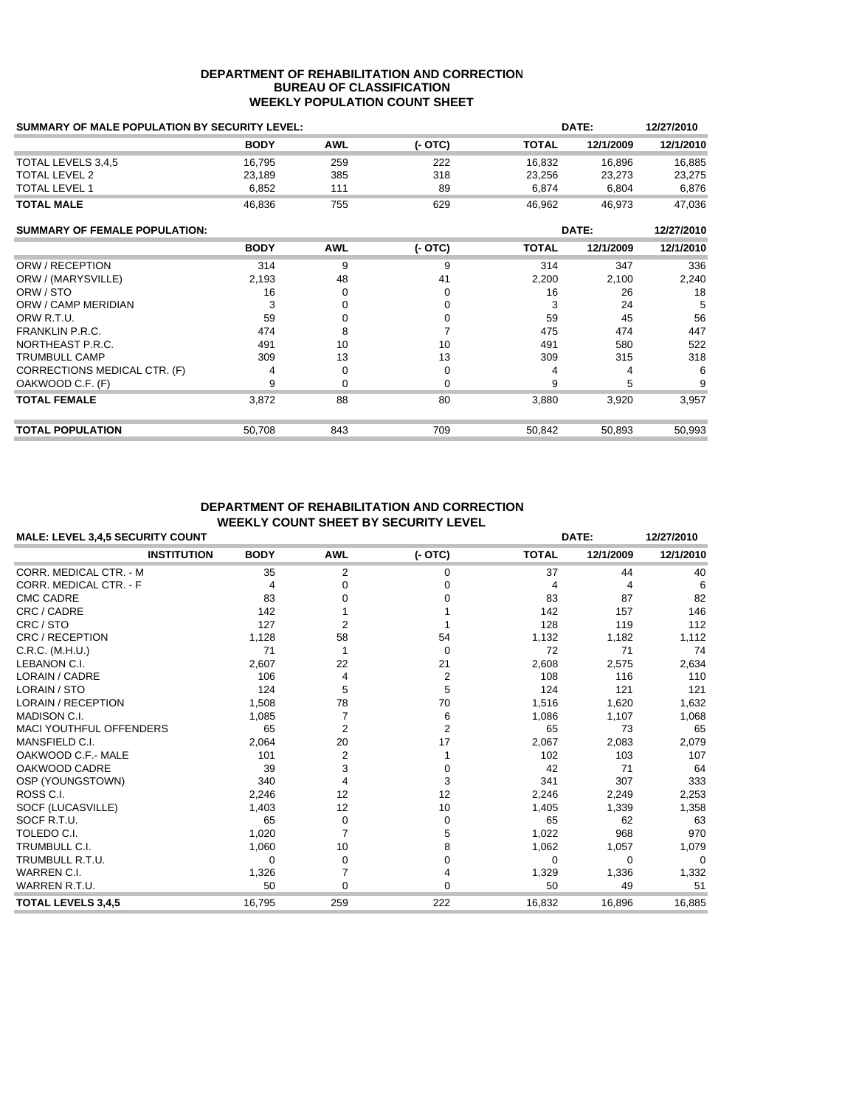#### **DEPARTMENT OF REHABILITATION AND CORRECTION BUREAU OF CLASSIFICATION WEEKLY POPULATION COUNT SHEET**

| <b>SUMMARY OF MALE POPULATION BY SECURITY LEVEL:</b> |             | DATE:      |          |              |           |            |
|------------------------------------------------------|-------------|------------|----------|--------------|-----------|------------|
|                                                      | <b>BODY</b> | <b>AWL</b> | $(-OTC)$ | <b>TOTAL</b> | 12/1/2009 | 12/1/2010  |
| TOTAL LEVELS 3,4,5                                   | 16,795      | 259        | 222      | 16,832       | 16,896    | 16,885     |
| <b>TOTAL LEVEL 2</b>                                 | 23,189      | 385        | 318      | 23,256       | 23,273    | 23,275     |
| <b>TOTAL LEVEL 1</b>                                 | 6,852       | 111        | 89       | 6,874        | 6,804     | 6,876      |
| <b>TOTAL MALE</b>                                    | 46,836      | 755        | 629      | 46,962       | 46,973    | 47,036     |
| SUMMARY OF FEMALE POPULATION:                        |             |            |          |              | DATE:     | 12/27/2010 |
|                                                      | <b>BODY</b> | <b>AWL</b> | $(-OTC)$ | <b>TOTAL</b> | 12/1/2009 | 12/1/2010  |
| ORW / RECEPTION                                      | 314         | 9          | 9        | 314          | 347       | 336        |
| ORW / (MARYSVILLE)                                   | 2,193       | 48         | 41       | 2,200        | 2,100     | 2,240      |
| ORW / STO                                            | 16          | 0          | $\Omega$ | 16           | 26        | 18         |
| ORW / CAMP MERIDIAN                                  | 3           | 0          | 0        | 3            | 24        | 5          |
| ORW R.T.U.                                           | 59          | 0          | 0        | 59           | 45        | 56         |
| <b>FRANKLIN P.R.C.</b>                               | 474         | 8          | 7        | 475          | 474       | 447        |
| NORTHEAST P.R.C.                                     | 491         | 10         | 10       | 491          | 580       | 522        |
| <b>TRUMBULL CAMP</b>                                 | 309         | 13         | 13       | 309          | 315       | 318        |
| CORRECTIONS MEDICAL CTR. (F)                         | 4           | 0          | 0        | 4            | 4         | 6          |
| OAKWOOD C.F. (F)                                     | 9           | 0          | $\Omega$ | 9            | 5         | 9          |
| <b>TOTAL FEMALE</b>                                  | 3,872       | 88         | 80       | 3,880        | 3,920     | 3,957      |
| <b>TOTAL POPULATION</b>                              | 50,708      | 843        | 709      | 50,842       | 50,893    | 50,993     |

### **DEPARTMENT OF REHABILITATION AND CORRECTION WEEKLY COUNT SHEET BY SECURITY LEVEL**

| <b>MALE: LEVEL 3,4,5 SECURITY COUNT</b> |             | DATE:          |                |              |           |           |
|-----------------------------------------|-------------|----------------|----------------|--------------|-----------|-----------|
| <b>INSTITUTION</b>                      | <b>BODY</b> | <b>AWL</b>     | $(-OTC)$       | <b>TOTAL</b> | 12/1/2009 | 12/1/2010 |
| CORR. MEDICAL CTR. - M                  | 35          | $\overline{2}$ | 0              | 37           | 44        | 40        |
| <b>CORR. MEDICAL CTR. - F</b>           | 4           |                |                | 4            | 4         | 6         |
| <b>CMC CADRE</b>                        | 83          |                |                | 83           | 87        | 82        |
| CRC / CADRE                             | 142         |                |                | 142          | 157       | 146       |
| CRC / STO                               | 127         |                |                | 128          | 119       | 112       |
| CRC / RECEPTION                         | 1,128       | 58             | 54             | 1,132        | 1,182     | 1,112     |
| C.R.C. (M.H.U.)                         | 71          |                | 0              | 72           | 71        | 74        |
| LEBANON C.I.                            | 2,607       | 22             | 21             | 2,608        | 2,575     | 2,634     |
| LORAIN / CADRE                          | 106         |                | 2              | 108          | 116       | 110       |
| LORAIN / STO                            | 124         | 5              | 5              | 124          | 121       | 121       |
| <b>LORAIN / RECEPTION</b>               | 1,508       | 78             | 70             | 1,516        | 1,620     | 1,632     |
| MADISON C.I.                            | 1,085       |                | 6              | 1,086        | 1,107     | 1,068     |
| <b>MACI YOUTHFUL OFFENDERS</b>          | 65          |                | $\overline{2}$ | 65           | 73        | 65        |
| MANSFIELD C.I.                          | 2,064       | 20             | 17             | 2,067        | 2,083     | 2,079     |
| OAKWOOD C.F.- MALE                      | 101         | 2              |                | 102          | 103       | 107       |
| OAKWOOD CADRE                           | 39          | 3              |                | 42           | 71        | 64        |
| OSP (YOUNGSTOWN)                        | 340         |                | 3              | 341          | 307       | 333       |
| ROSS C.I.                               | 2,246       | 12             | 12             | 2,246        | 2,249     | 2,253     |
| SOCF (LUCASVILLE)                       | 1,403       | 12             | 10             | 1,405        | 1,339     | 1,358     |
| SOCF R.T.U.                             | 65          | 0              | 0              | 65           | 62        | 63        |
| TOLEDO C.I.                             | 1,020       |                | 5              | 1,022        | 968       | 970       |
| <b>TRUMBULL C.I.</b>                    | 1,060       | 10             | 8              | 1,062        | 1,057     | 1,079     |
| TRUMBULL R.T.U.                         | $\Omega$    |                |                | $\Omega$     | $\Omega$  | 0         |
| <b>WARREN C.I.</b>                      | 1,326       |                |                | 1,329        | 1,336     | 1,332     |
| WARREN R.T.U.                           | 50          | 0              | O              | 50           | 49        | 51        |
| <b>TOTAL LEVELS 3,4,5</b>               | 16.795      | 259            | 222            | 16,832       | 16,896    | 16,885    |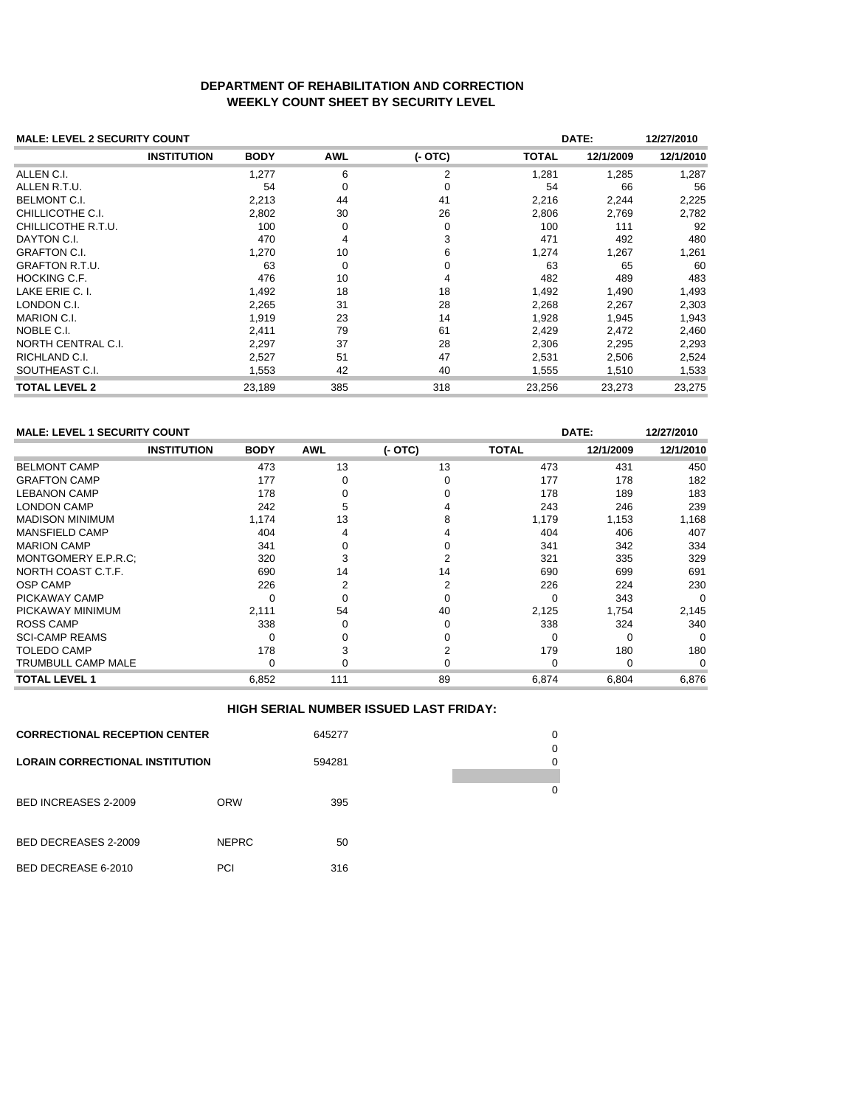## **DEPARTMENT OF REHABILITATION AND CORRECTION WEEKLY COUNT SHEET BY SECURITY LEVEL**

| <b>MALE: LEVEL 2 SECURITY COUNT</b> |                    | DATE:       |            |          |              |           |           |
|-------------------------------------|--------------------|-------------|------------|----------|--------------|-----------|-----------|
|                                     | <b>INSTITUTION</b> | <b>BODY</b> | <b>AWL</b> | $(-OTC)$ | <b>TOTAL</b> | 12/1/2009 | 12/1/2010 |
| ALLEN C.I.                          |                    | 1,277       | 6          | 2        | 1,281        | 1,285     | 1,287     |
| ALLEN R.T.U.                        |                    | 54          | $\Omega$   | 0        | 54           | 66        | 56        |
| <b>BELMONT C.I.</b>                 |                    | 2,213       | 44         | 41       | 2,216        | 2,244     | 2,225     |
| CHILLICOTHE C.I.                    |                    | 2,802       | 30         | 26       | 2,806        | 2,769     | 2,782     |
| CHILLICOTHE R.T.U.                  |                    | 100         | $\Omega$   | 0        | 100          | 111       | 92        |
| DAYTON C.I.                         |                    | 470         | 4          | 3        | 471          | 492       | 480       |
| <b>GRAFTON C.I.</b>                 |                    | 1,270       | 10         | 6        | 1,274        | 1,267     | 1,261     |
| <b>GRAFTON R.T.U.</b>               |                    | 63          | 0          | 0        | 63           | 65        | 60        |
| <b>HOCKING C.F.</b>                 |                    | 476         | 10         | 4        | 482          | 489       | 483       |
| LAKE ERIE C. I.                     |                    | 1,492       | 18         | 18       | 1,492        | 1,490     | 1,493     |
| LONDON C.I.                         |                    | 2,265       | 31         | 28       | 2,268        | 2,267     | 2,303     |
| <b>MARION C.I.</b>                  |                    | 1,919       | 23         | 14       | 1,928        | 1,945     | 1,943     |
| NOBLE C.I.                          |                    | 2,411       | 79         | 61       | 2,429        | 2,472     | 2,460     |
| NORTH CENTRAL C.I.                  |                    | 2,297       | 37         | 28       | 2,306        | 2,295     | 2,293     |
| RICHLAND C.I.                       |                    | 2,527       | 51         | 47       | 2,531        | 2,506     | 2,524     |
| SOUTHEAST C.I.                      |                    | 1,553       | 42         | 40       | 1,555        | 1,510     | 1,533     |
| <b>TOTAL LEVEL 2</b>                |                    | 23,189      | 385        | 318      | 23,256       | 23,273    | 23,275    |

#### **MALE: LEVEL 1 SECURITY COUNT DATE: 12/27/2010**

|                        | <b>INSTITUTION</b> | <b>BODY</b> | <b>AWL</b> | $(-OTC)$ | <b>TOTAL</b> | 12/1/2009 | 12/1/2010 |
|------------------------|--------------------|-------------|------------|----------|--------------|-----------|-----------|
| <b>BELMONT CAMP</b>    |                    | 473         | 13         | 13       | 473          | 431       | 450       |
| <b>GRAFTON CAMP</b>    |                    | 177         |            |          | 177          | 178       | 182       |
| <b>LEBANON CAMP</b>    |                    | 178         |            |          | 178          | 189       | 183       |
| <b>LONDON CAMP</b>     |                    | 242         |            |          | 243          | 246       | 239       |
| <b>MADISON MINIMUM</b> |                    | 1,174       | 13         |          | 1,179        | 1,153     | 1,168     |
| <b>MANSFIELD CAMP</b>  |                    | 404         |            |          | 404          | 406       | 407       |
| <b>MARION CAMP</b>     |                    | 341         |            |          | 341          | 342       | 334       |
| MONTGOMERY E.P.R.C:    |                    | 320         |            |          | 321          | 335       | 329       |
| NORTH COAST C.T.F.     |                    | 690         | 14         | 14       | 690          | 699       | 691       |
| <b>OSP CAMP</b>        |                    | 226         | 2          |          | 226          | 224       | 230       |
| PICKAWAY CAMP          |                    |             |            |          | 0            | 343       | $\Omega$  |
| PICKAWAY MINIMUM       |                    | 2.111       | 54         | 40       | 2,125        | 1,754     | 2,145     |
| ROSS CAMP              |                    | 338         |            |          | 338          | 324       | 340       |
| <b>SCI-CAMP REAMS</b>  |                    |             |            |          | O            | 0         | $\Omega$  |
| <b>TOLEDO CAMP</b>     |                    | 178         |            |          | 179          | 180       | 180       |
| TRUMBULL CAMP MALE     |                    |             |            |          | በ            | $\Omega$  |           |
| <b>TOTAL LEVEL 1</b>   |                    | 6,852       | 111        | 89       | 6,874        | 6,804     | 6,876     |

### **HIGH SERIAL NUMBER ISSUED LAST FRIDAY:**

| <b>CORRECTIONAL RECEPTION CENTER</b>   |              | 645277 | 0<br>0 |
|----------------------------------------|--------------|--------|--------|
| <b>LORAIN CORRECTIONAL INSTITUTION</b> |              | 594281 | 0      |
| <b>BED INCREASES 2-2009</b>            | <b>ORW</b>   | 395    | 0      |
| BED DECREASES 2-2009                   | <b>NEPRC</b> | 50     |        |
| BED DECREASE 6-2010                    | <b>PCI</b>   | 316    |        |